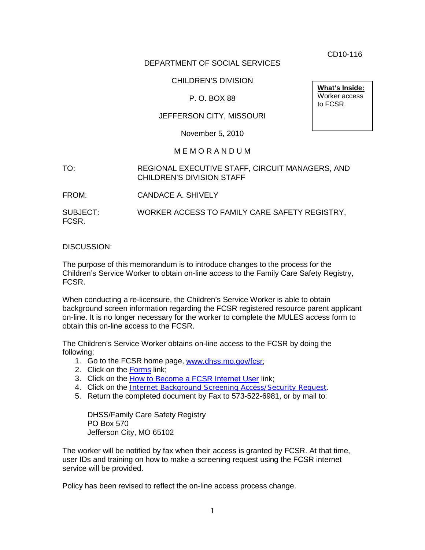CD10-116

## DEPARTMENT OF SOCIAL SERVICES

## CHILDREN'S DIVISION

## P. O. BOX 88

## JEFFERSON CITY, MISSOURI

November 5, 2010

#### M E M O R A N D U M

TO: REGIONAL EXECUTIVE STAFF, CIRCUIT MANAGERS, AND CHILDREN'S DIVISION STAFF

FROM: CANDACE A. SHIVELY

SUBJECT: WORKER ACCESS TO FAMILY CARE SAFETY REGISTRY, FCSR.

#### DISCUSSION:

The purpose of this memorandum is to introduce changes to the process for the Children's Service Worker to obtain on-line access to the Family Care Safety Registry, FCSR.

When conducting a re-licensure, the Children's Service Worker is able to obtain background screen information regarding the FCSR registered resource parent applicant on-line. It is no longer necessary for the worker to complete the MULES access form to obtain this on-line access to the FCSR.

The Children's Service Worker obtains on-line access to the FCSR by doing the following:

- 1. Go to the FCSR home page, [www.dhss.mo.gov/fcsr;](http://www.dhss.mo.gov/fcsr)
- 2. Click on the [Forms](http://www.dhss.mo.gov/fcsr/AppsForms.html) link;
- 3. Click on the [How to Become a FCSR Internet User](http://www.dhss.mo.gov/fcsr/PreApprovedProvider.html) link;
- 4. Click on the *[Internet Background Screening Access/Security Request](http://www.dhss.mo.gov/fcsr/Access_Form.doc)*.
- 5. Return the completed document by Fax to 573-522-6981, or by mail to:

DHSS/Family Care Safety Registry PO Box 570 Jefferson City, MO 65102

The worker will be notified by fax when their access is granted by FCSR. At that time, user IDs and training on how to make a screening request using the FCSR internet service will be provided.

Policy has been revised to reflect the on-line access process change.

**What's Inside:** Worker access to FCSR.